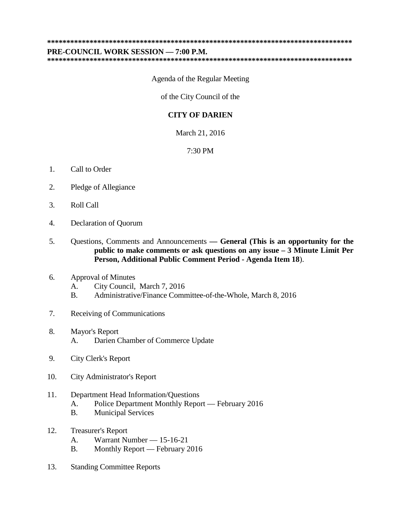**\*\*\*\*\*\*\*\*\*\*\*\*\*\*\*\*\*\*\*\*\*\*\*\*\*\*\*\*\*\*\*\*\*\*\*\*\*\*\*\*\*\*\*\*\*\*\*\*\*\*\*\*\*\*\*\*\*\*\*\*\*\*\*\*\*\*\*\*\*\*\*\*\*\*\*\*\*\*\***

**PRE-COUNCIL WORK SESSION — 7:00 P.M.**

**\*\*\*\*\*\*\*\*\*\*\*\*\*\*\*\*\*\*\*\*\*\*\*\*\*\*\*\*\*\*\*\*\*\*\*\*\*\*\*\*\*\*\*\*\*\*\*\*\*\*\*\*\*\*\*\*\*\*\*\*\*\*\*\*\*\*\*\*\*\*\*\*\*\*\*\*\*\*\***

Agenda of the Regular Meeting

of the City Council of the

## **CITY OF DARIEN**

March 21, 2016

7:30 PM

- 1. Call to Order
- 2. Pledge of Allegiance
- 3. Roll Call
- 4. Declaration of Quorum
- 5. Questions, Comments and Announcements **— General (This is an opportunity for the public to make comments or ask questions on any issue – 3 Minute Limit Per Person, Additional Public Comment Period - Agenda Item 18**).

## 6. Approval of Minutes

- A. City Council, March 7, 2016
- B. Administrative/Finance Committee-of-the-Whole, March 8, 2016
- 7. Receiving of Communications
- 8. Mayor's Report A. Darien Chamber of Commerce Update
- 9. City Clerk's Report
- 10. City Administrator's Report

## 11. Department Head Information/Questions

- A. Police Department Monthly Report February 2016
- B. Municipal Services
- 12. Treasurer's Report
	- A. Warrant Number 15-16-21
	- B. Monthly Report February 2016
- 13. Standing Committee Reports